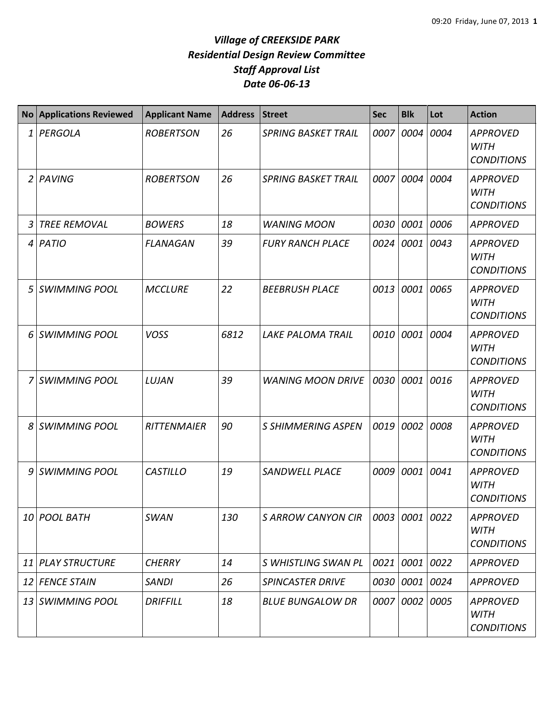| <b>No</b> | <b>Applications Reviewed</b> | <b>Applicant Name</b> | <b>Address</b> | <b>Street</b>              | <b>Sec</b> | <b>Blk</b>     | Lot  | <b>Action</b>                                       |
|-----------|------------------------------|-----------------------|----------------|----------------------------|------------|----------------|------|-----------------------------------------------------|
| 1         | PERGOLA                      | <b>ROBERTSON</b>      | 26             | <b>SPRING BASKET TRAIL</b> | 0007       | 0004           | 0004 | <b>APPROVED</b><br><b>WITH</b><br><b>CONDITIONS</b> |
| 2         | PAVING                       | <b>ROBERTSON</b>      | 26             | <b>SPRING BASKET TRAIL</b> | 0007       | 0004           | 0004 | <b>APPROVED</b><br><b>WITH</b><br><b>CONDITIONS</b> |
| 3         | <b>TREE REMOVAL</b>          | <b>BOWERS</b>         | 18             | <b>WANING MOON</b>         | 0030       | 0001           | 0006 | <b>APPROVED</b>                                     |
|           | $4$ PATIO                    | <b>FLANAGAN</b>       | 39             | <b>FURY RANCH PLACE</b>    | 0024       | 0001           | 0043 | <b>APPROVED</b><br><b>WITH</b><br><b>CONDITIONS</b> |
| 5         | <b>SWIMMING POOL</b>         | <b>MCCLURE</b>        | 22             | <b>BEEBRUSH PLACE</b>      | 0013       | 0001           | 0065 | <b>APPROVED</b><br><b>WITH</b><br><b>CONDITIONS</b> |
| 6         | <b>SWIMMING POOL</b>         | <b>VOSS</b>           | 6812           | <b>LAKE PALOMA TRAIL</b>   | 0010       | 0001           | 0004 | <b>APPROVED</b><br><b>WITH</b><br><b>CONDITIONS</b> |
| 7         | <b>SWIMMING POOL</b>         | LUJAN                 | 39             | <b>WANING MOON DRIVE</b>   | 0030       | 0001           | 0016 | <b>APPROVED</b><br><b>WITH</b><br><b>CONDITIONS</b> |
| 8         | <b>SWIMMING POOL</b>         | <b>RITTENMAIER</b>    | 90             | <b>S SHIMMERING ASPEN</b>  | 0019       | 0002           | 0008 | <b>APPROVED</b><br><b>WITH</b><br><b>CONDITIONS</b> |
| 9         | <b>SWIMMING POOL</b>         | <b>CASTILLO</b>       | 19             | <b>SANDWELL PLACE</b>      | 0009       | 0001           | 0041 | <b>APPROVED</b><br><b>WITH</b><br><b>CONDITIONS</b> |
|           | 10 POOL BATH                 | <b>SWAN</b>           | 130            | <b>S ARROW CANYON CIR</b>  |            | 0003 0001 0022 |      | <b>APPROVED</b><br><b>WITH</b><br><b>CONDITIONS</b> |
| 11        | <b>PLAY STRUCTURE</b>        | <b>CHERRY</b>         | 14             | S WHISTLING SWAN PL        |            | 0021 0001      | 0022 | <b>APPROVED</b>                                     |
|           | 12 FENCE STAIN               | <b>SANDI</b>          | 26             | <b>SPINCASTER DRIVE</b>    |            | 0030 0001 0024 |      | <b>APPROVED</b>                                     |
|           | 13 SWIMMING POOL             | <b>DRIFFILL</b>       | 18             | <b>BLUE BUNGALOW DR</b>    |            | 0007 0002      | 0005 | <b>APPROVED</b><br><b>WITH</b><br><b>CONDITIONS</b> |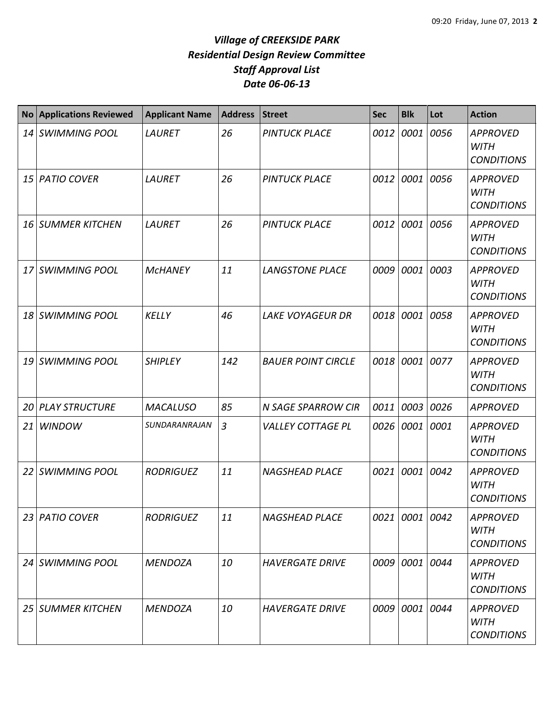| <b>No</b> | <b>Applications Reviewed</b> | <b>Applicant Name</b> | <b>Address</b> | <b>Street</b>             | <b>Sec</b> | <b>Blk</b>     | Lot  | <b>Action</b>                                       |
|-----------|------------------------------|-----------------------|----------------|---------------------------|------------|----------------|------|-----------------------------------------------------|
|           | 14 SWIMMING POOL             | <b>LAURET</b>         | 26             | <b>PINTUCK PLACE</b>      | 0012       | 0001           | 0056 | <b>APPROVED</b><br><b>WITH</b><br><b>CONDITIONS</b> |
| 15 I      | <b>PATIO COVER</b>           | <b>LAURET</b>         | 26             | <b>PINTUCK PLACE</b>      | 0012       | 0001           | 0056 | <b>APPROVED</b><br><b>WITH</b><br><b>CONDITIONS</b> |
| 16        | <b>SUMMER KITCHEN</b>        | <b>LAURET</b>         | 26             | <b>PINTUCK PLACE</b>      | 0012       | 0001           | 0056 | <b>APPROVED</b><br><b>WITH</b><br><b>CONDITIONS</b> |
| 17        | <b>SWIMMING POOL</b>         | <b>MCHANEY</b>        | 11             | <b>LANGSTONE PLACE</b>    | 0009       | 0001           | 0003 | <b>APPROVED</b><br><b>WITH</b><br><b>CONDITIONS</b> |
|           | 18 SWIMMING POOL             | <b>KELLY</b>          | 46             | <b>LAKE VOYAGEUR DR</b>   | 0018       | 0001           | 0058 | <b>APPROVED</b><br><b>WITH</b><br><b>CONDITIONS</b> |
| 19        | <b>SWIMMING POOL</b>         | <b>SHIPLEY</b>        | 142            | <b>BAUER POINT CIRCLE</b> | 0018       | 0001           | 0077 | <b>APPROVED</b><br><b>WITH</b><br><b>CONDITIONS</b> |
| 20        | <b>PLAY STRUCTURE</b>        | <b>MACALUSO</b>       | 85             | N SAGE SPARROW CIR        | 0011       | 0003           | 0026 | <b>APPROVED</b>                                     |
| 21        | <b>WINDOW</b>                | SUNDARANRAJAN         | $\overline{3}$ | <b>VALLEY COTTAGE PL</b>  | 0026       | 0001           | 0001 | <b>APPROVED</b><br><b>WITH</b><br><b>CONDITIONS</b> |
| 22        | <b>SWIMMING POOL</b>         | <b>RODRIGUEZ</b>      | 11             | <b>NAGSHEAD PLACE</b>     | 0021       | 0001           | 0042 | <b>APPROVED</b><br><b>WITH</b><br><b>CONDITIONS</b> |
|           | 23 PATIO COVER               | <b>RODRIGUEZ</b>      | 11             | <b>NAGSHEAD PLACE</b>     |            | 0021 0001 0042 |      | <b>APPROVED</b><br><b>WITH</b><br><b>CONDITIONS</b> |
|           | 24 SWIMMING POOL             | <b>MENDOZA</b>        | 10             | <b>HAVERGATE DRIVE</b>    |            | 0009 0001      | 0044 | <b>APPROVED</b><br><b>WITH</b><br><b>CONDITIONS</b> |
|           | 25 SUMMER KITCHEN            | <b>MENDOZA</b>        | 10             | <b>HAVERGATE DRIVE</b>    |            | 0009 0001 0044 |      | <b>APPROVED</b><br><b>WITH</b><br><b>CONDITIONS</b> |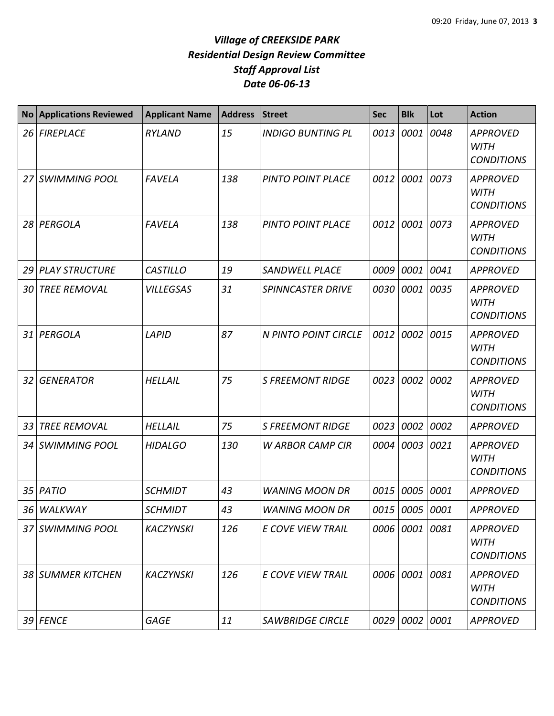| <b>No</b> | <b>Applications Reviewed</b> | <b>Applicant Name</b> | <b>Address</b> | <b>Street</b>            | <b>Sec</b> | <b>Blk</b>     | Lot  | <b>Action</b>                                       |
|-----------|------------------------------|-----------------------|----------------|--------------------------|------------|----------------|------|-----------------------------------------------------|
| 26        | <b>FIREPLACE</b>             | <b>RYLAND</b>         | 15             | <b>INDIGO BUNTING PL</b> | 0013       | 0001           | 0048 | <b>APPROVED</b><br><b>WITH</b><br><b>CONDITIONS</b> |
| 27        | <b>SWIMMING POOL</b>         | <b>FAVELA</b>         | 138            | PINTO POINT PLACE        | 0012       | 0001 0073      |      | <b>APPROVED</b><br><b>WITH</b><br><b>CONDITIONS</b> |
| 28        | PERGOLA                      | <b>FAVELA</b>         | 138            | <b>PINTO POINT PLACE</b> | 0012       | 0001 0073      |      | <b>APPROVED</b><br><b>WITH</b><br><b>CONDITIONS</b> |
| 29        | <b>PLAY STRUCTURE</b>        | <b>CASTILLO</b>       | 19             | <b>SANDWELL PLACE</b>    | 0009       | 0001           | 0041 | <b>APPROVED</b>                                     |
| 30        | <b>TREE REMOVAL</b>          | <b>VILLEGSAS</b>      | 31             | <b>SPINNCASTER DRIVE</b> | 0030       | 0001           | 0035 | <b>APPROVED</b><br><b>WITH</b><br><b>CONDITIONS</b> |
| 31        | PERGOLA                      | LAPID                 | 87             | N PINTO POINT CIRCLE     | 0012       | 0002           | 0015 | <b>APPROVED</b><br><b>WITH</b><br><b>CONDITIONS</b> |
| 32        | <b>GENERATOR</b>             | <b>HELLAIL</b>        | 75             | <b>S FREEMONT RIDGE</b>  | 0023       | 0002           | 0002 | <b>APPROVED</b><br><b>WITH</b><br><b>CONDITIONS</b> |
| 33        | <b>TREE REMOVAL</b>          | HELLAIL               | 75             | <b>S FREEMONT RIDGE</b>  | 0023       | 0002           | 0002 | <b>APPROVED</b>                                     |
| 34        | <b>SWIMMING POOL</b>         | <b>HIDALGO</b>        | 130            | <b>W ARBOR CAMP CIR</b>  | 0004       | 0003 0021      |      | <b>APPROVED</b><br><b>WITH</b><br><b>CONDITIONS</b> |
| 35        | PATIO                        | <b>SCHMIDT</b>        | 43             | <b>WANING MOON DR</b>    | 0015       | 0005 0001      |      | <b>APPROVED</b>                                     |
|           | 36 WALKWAY                   | <b>SCHMIDT</b>        | 43             | <b>WANING MOON DR</b>    |            | 0015 0005 0001 |      | <b>APPROVED</b>                                     |
|           | 37 SWIMMING POOL             | <b>KACZYNSKI</b>      | 126            | <b>E COVE VIEW TRAIL</b> | 0006       | 0001 0081      |      | <b>APPROVED</b><br><b>WITH</b><br><b>CONDITIONS</b> |
|           | 38 SUMMER KITCHEN            | <b>KACZYNSKI</b>      | 126            | E COVE VIEW TRAIL        |            | 0006 0001 0081 |      | <b>APPROVED</b><br><b>WITH</b><br><b>CONDITIONS</b> |
|           | 39 FENCE                     | <b>GAGE</b>           | 11             | <b>SAWBRIDGE CIRCLE</b>  |            | 0029 0002 0001 |      | <b>APPROVED</b>                                     |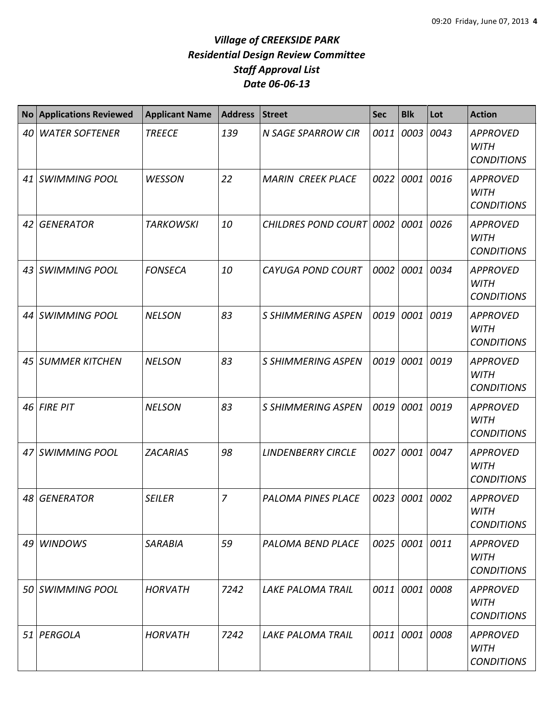| <b>No</b> | <b>Applications Reviewed</b> | <b>Applicant Name</b> | <b>Address</b> | <b>Street</b>             | <b>Sec</b> | <b>Blk</b>     | Lot  | <b>Action</b>                                       |
|-----------|------------------------------|-----------------------|----------------|---------------------------|------------|----------------|------|-----------------------------------------------------|
| 40        | <b>WATER SOFTENER</b>        | <b>TREECE</b>         | 139            | <b>N SAGE SPARROW CIR</b> | 0011       | 0003           | 0043 | <b>APPROVED</b><br><b>WITH</b><br><b>CONDITIONS</b> |
|           | 41 SWIMMING POOL             | <b>WESSON</b>         | 22             | <b>MARIN CREEK PLACE</b>  | 0022       | 0001           | 0016 | <b>APPROVED</b><br><b>WITH</b><br><b>CONDITIONS</b> |
| 42        | <b>GENERATOR</b>             | <b>TARKOWSKI</b>      | 10             | CHILDRES POND COURT 0002  |            | 0001           | 0026 | <b>APPROVED</b><br><b>WITH</b><br><b>CONDITIONS</b> |
|           | 43 SWIMMING POOL             | <b>FONSECA</b>        | 10             | <b>CAYUGA POND COURT</b>  | 0002       | 0001           | 0034 | <b>APPROVED</b><br><b>WITH</b><br><b>CONDITIONS</b> |
|           | 44 SWIMMING POOL             | <b>NELSON</b>         | 83             | <b>S SHIMMERING ASPEN</b> | 0019       | 0001           | 0019 | <b>APPROVED</b><br><b>WITH</b><br><b>CONDITIONS</b> |
|           | 45 SUMMER KITCHEN            | <b>NELSON</b>         | 83             | <b>S SHIMMERING ASPEN</b> | 0019       | 0001           | 0019 | <b>APPROVED</b><br><b>WITH</b><br><b>CONDITIONS</b> |
|           | 46 FIRE PIT                  | <b>NELSON</b>         | 83             | <b>S SHIMMERING ASPEN</b> | 0019       | 0001           | 0019 | <b>APPROVED</b><br><b>WITH</b><br><b>CONDITIONS</b> |
|           | 47 SWIMMING POOL             | <b>ZACARIAS</b>       | 98             | <b>LINDENBERRY CIRCLE</b> | 0027       | 0001           | 0047 | <b>APPROVED</b><br><b>WITH</b><br><b>CONDITIONS</b> |
| 48        | <b>GENERATOR</b>             | <b>SEILER</b>         | $\overline{z}$ | PALOMA PINES PLACE        | 0023       | 0001           | 0002 | <b>APPROVED</b><br><b>WITH</b><br><b>CONDITIONS</b> |
|           | 49 WINDOWS                   | <b>SARABIA</b>        | 59             | PALOMA BEND PLACE         |            | 0025 0001 0011 |      | <b>APPROVED</b><br><b>WITH</b><br><b>CONDITIONS</b> |
|           | 50 SWIMMING POOL             | <b>HORVATH</b>        | 7242           | <b>LAKE PALOMA TRAIL</b>  |            | 0011 0001 0008 |      | <b>APPROVED</b><br><b>WITH</b><br><b>CONDITIONS</b> |
|           | 51 PERGOLA                   | <b>HORVATH</b>        | 7242           | <b>LAKE PALOMA TRAIL</b>  |            | 0011 0001 0008 |      | <b>APPROVED</b><br>WITH<br><b>CONDITIONS</b>        |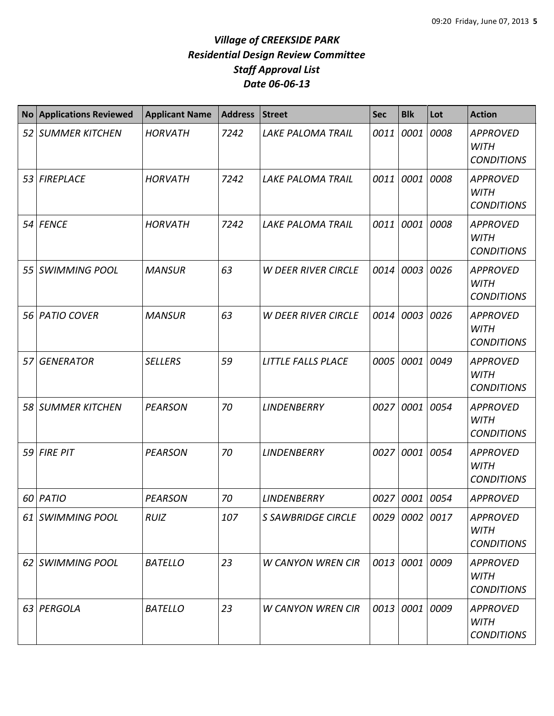| <b>No</b> | <b>Applications Reviewed</b> | <b>Applicant Name</b> | <b>Address</b> | <b>Street</b>              | <b>Sec</b> | <b>Blk</b>     | Lot  | <b>Action</b>                                       |
|-----------|------------------------------|-----------------------|----------------|----------------------------|------------|----------------|------|-----------------------------------------------------|
|           | 52 SUMMER KITCHEN            | <b>HORVATH</b>        | 7242           | <b>LAKE PALOMA TRAIL</b>   | 0011       | 0001           | 0008 | <b>APPROVED</b><br><b>WITH</b><br><b>CONDITIONS</b> |
| 53        | <b>FIREPLACE</b>             | <b>HORVATH</b>        | 7242           | <b>LAKE PALOMA TRAIL</b>   | 0011       | 0001           | 0008 | <b>APPROVED</b><br><b>WITH</b><br><b>CONDITIONS</b> |
| 54 I      | <b>FENCE</b>                 | <b>HORVATH</b>        | 7242           | <b>LAKE PALOMA TRAIL</b>   | 0011       | 0001           | 0008 | <b>APPROVED</b><br><b>WITH</b><br><b>CONDITIONS</b> |
| 55        | <b>SWIMMING POOL</b>         | <b>MANSUR</b>         | 63             | <b>W DEER RIVER CIRCLE</b> | 0014       | 0003           | 0026 | <b>APPROVED</b><br><b>WITH</b><br><b>CONDITIONS</b> |
| 56 I      | <b>PATIO COVER</b>           | <b>MANSUR</b>         | 63             | <b>W DEER RIVER CIRCLE</b> | 0014       | 0003           | 0026 | <b>APPROVED</b><br><b>WITH</b><br><b>CONDITIONS</b> |
| 57        | <b>GENERATOR</b>             | <b>SELLERS</b>        | 59             | <b>LITTLE FALLS PLACE</b>  | 0005       | 0001           | 0049 | <b>APPROVED</b><br><b>WITH</b><br><b>CONDITIONS</b> |
| 58 I      | <b>SUMMER KITCHEN</b>        | <b>PEARSON</b>        | 70             | <b>LINDENBERRY</b>         | 0027       | 0001           | 0054 | <b>APPROVED</b><br><b>WITH</b><br><b>CONDITIONS</b> |
| 59        | <b>FIRE PIT</b>              | <b>PEARSON</b>        | 70             | <b>LINDENBERRY</b>         | 0027       | 0001           | 0054 | <b>APPROVED</b><br><b>WITH</b><br><b>CONDITIONS</b> |
| 60        | PATIO                        | <b>PEARSON</b>        | 70             | <b>LINDENBERRY</b>         | 0027       | 0001           | 0054 | <b>APPROVED</b>                                     |
|           | 61 SWIMMING POOL             | <b>RUIZ</b>           | 107            | <b>S SAWBRIDGE CIRCLE</b>  |            | 0029 0002 0017 |      | <b>APPROVED</b><br><b>WITH</b><br><b>CONDITIONS</b> |
|           | 62 SWIMMING POOL             | <b>BATELLO</b>        | 23             | <b>W CANYON WREN CIR</b>   |            | 0013 0001      | 0009 | <b>APPROVED</b><br><b>WITH</b><br><b>CONDITIONS</b> |
|           | 63 PERGOLA                   | <b>BATELLO</b>        | 23             | <b>W CANYON WREN CIR</b>   |            | 0013 0001      | 0009 | <b>APPROVED</b><br><b>WITH</b><br><b>CONDITIONS</b> |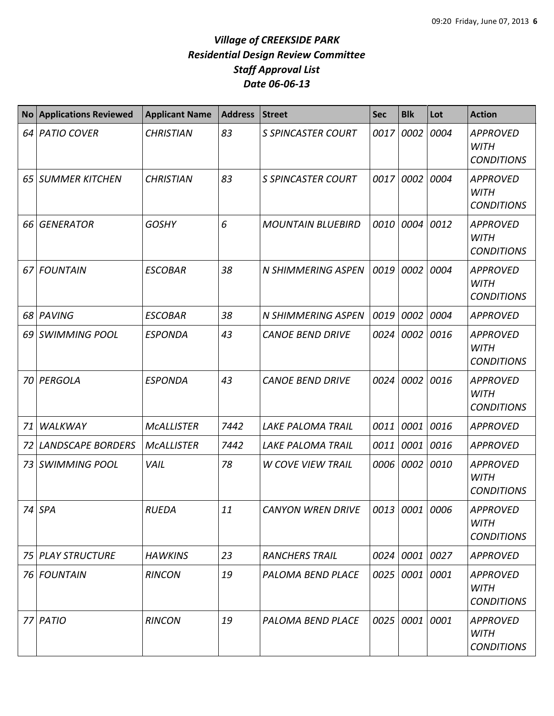| <b>No</b> | <b>Applications Reviewed</b> | <b>Applicant Name</b> | <b>Address</b> | <b>Street</b>             | <b>Sec</b> | <b>Blk</b>     | Lot  | <b>Action</b>                                       |
|-----------|------------------------------|-----------------------|----------------|---------------------------|------------|----------------|------|-----------------------------------------------------|
|           | 64 PATIO COVER               | <b>CHRISTIAN</b>      | 83             | <b>S SPINCASTER COURT</b> | 0017       | 0002           | 0004 | <b>APPROVED</b><br><b>WITH</b><br><b>CONDITIONS</b> |
| 65 I      | <b>SUMMER KITCHEN</b>        | <b>CHRISTIAN</b>      | 83             | <b>S SPINCASTER COURT</b> | 0017       | 0002           | 0004 | <b>APPROVED</b><br><b>WITH</b><br><b>CONDITIONS</b> |
| 66        | <b>GENERATOR</b>             | <b>GOSHY</b>          | 6              | <b>MOUNTAIN BLUEBIRD</b>  | 0010       | 0004           | 0012 | <b>APPROVED</b><br><b>WITH</b><br><b>CONDITIONS</b> |
| 67 I      | <b>FOUNTAIN</b>              | <b>ESCOBAR</b>        | 38             | N SHIMMERING ASPEN        | 0019       | 0002           | 0004 | <b>APPROVED</b><br><b>WITH</b><br><b>CONDITIONS</b> |
|           | 68 PAVING                    | <b>ESCOBAR</b>        | 38             | N SHIMMERING ASPEN        | 0019       | 0002           | 0004 | <b>APPROVED</b>                                     |
|           | 69 SWIMMING POOL             | <b>ESPONDA</b>        | 43             | <b>CANOE BEND DRIVE</b>   | 0024       | 0002           | 0016 | <b>APPROVED</b><br><b>WITH</b><br><b>CONDITIONS</b> |
|           | 70 PERGOLA                   | <b>ESPONDA</b>        | 43             | <b>CANOE BEND DRIVE</b>   | 0024       | 0002           | 0016 | <b>APPROVED</b><br><b>WITH</b><br><b>CONDITIONS</b> |
| 71        | WALKWAY                      | <b>MCALLISTER</b>     | 7442           | <b>LAKE PALOMA TRAIL</b>  | 0011       | 0001 0016      |      | <b>APPROVED</b>                                     |
| 72        | <b>LANDSCAPE BORDERS</b>     | <b>MCALLISTER</b>     | 7442           | <b>LAKE PALOMA TRAIL</b>  | 0011       | 0001 0016      |      | <b>APPROVED</b>                                     |
| 73        | <b>SWIMMING POOL</b>         | VAIL                  | 78             | <b>W COVE VIEW TRAIL</b>  | 0006       | 0002           | 0010 | <b>APPROVED</b><br><b>WITH</b><br><b>CONDITIONS</b> |
|           | 74 SPA                       | <b>RUEDA</b>          | 11             | <b>CANYON WREN DRIVE</b>  |            | 0013 0001 0006 |      | <b>APPROVED</b><br><b>WITH</b><br><b>CONDITIONS</b> |
|           | 75 PLAY STRUCTURE            | <b>HAWKINS</b>        | 23             | <b>RANCHERS TRAIL</b>     | 0024       | 0001 0027      |      | <b>APPROVED</b>                                     |
|           | 76 FOUNTAIN                  | <b>RINCON</b>         | 19             | PALOMA BEND PLACE         | 0025       | 0001 0001      |      | <b>APPROVED</b><br>WITH<br><b>CONDITIONS</b>        |
|           | 77 PATIO                     | <b>RINCON</b>         | 19             | PALOMA BEND PLACE         | 0025       | 0001 0001      |      | <b>APPROVED</b><br><b>WITH</b><br><b>CONDITIONS</b> |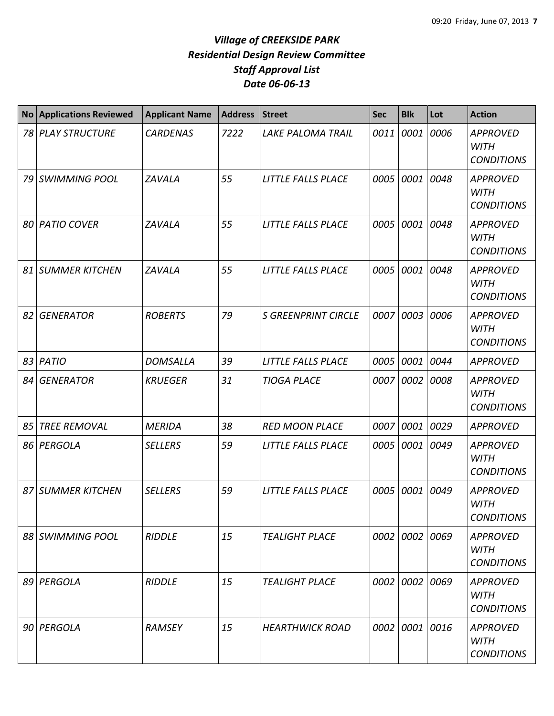| <b>No</b> | <b>Applications Reviewed</b> | <b>Applicant Name</b> | <b>Address</b> | <b>Street</b>              | <b>Sec</b> | <b>Blk</b>     | Lot  | <b>Action</b>                                       |
|-----------|------------------------------|-----------------------|----------------|----------------------------|------------|----------------|------|-----------------------------------------------------|
| 78 I      | <b>PLAY STRUCTURE</b>        | <b>CARDENAS</b>       | 7222           | <b>LAKE PALOMA TRAIL</b>   | 0011       | 0001           | 0006 | <b>APPROVED</b><br><b>WITH</b><br><b>CONDITIONS</b> |
| 79        | <b>SWIMMING POOL</b>         | <b>ZAVALA</b>         | 55             | LITTLE FALLS PLACE         | 0005       | 0001           | 0048 | <b>APPROVED</b><br><b>WITH</b><br><b>CONDITIONS</b> |
| 80        | <b>PATIO COVER</b>           | <b>ZAVALA</b>         | 55             | <b>LITTLE FALLS PLACE</b>  | 0005       | 0001           | 0048 | <b>APPROVED</b><br><b>WITH</b><br><b>CONDITIONS</b> |
| 81        | <b>SUMMER KITCHEN</b>        | <b>ZAVALA</b>         | 55             | <b>LITTLE FALLS PLACE</b>  | 0005       | 0001           | 0048 | <b>APPROVED</b><br><b>WITH</b><br><b>CONDITIONS</b> |
| 82        | <b>GENERATOR</b>             | <b>ROBERTS</b>        | 79             | <b>S GREENPRINT CIRCLE</b> | 0007       | 0003           | 0006 | <b>APPROVED</b><br><b>WITH</b><br><b>CONDITIONS</b> |
| 83        | PATIO                        | <b>DOMSALLA</b>       | 39             | LITTLE FALLS PLACE         | 0005       | 0001           | 0044 | <b>APPROVED</b>                                     |
| 84        | <b>GENERATOR</b>             | <b>KRUEGER</b>        | 31             | <b>TIOGA PLACE</b>         | 0007       | 0002           | 0008 | <b>APPROVED</b><br><b>WITH</b><br><b>CONDITIONS</b> |
| 85        | <b>TREE REMOVAL</b>          | <b>MERIDA</b>         | 38             | <b>RED MOON PLACE</b>      | 0007       | 0001           | 0029 | <b>APPROVED</b>                                     |
| 86 I      | PERGOLA                      | <b>SELLERS</b>        | 59             | LITTLE FALLS PLACE         | 0005       | 0001           | 0049 | <b>APPROVED</b><br><b>WITH</b><br><b>CONDITIONS</b> |
| 871       | <b>SUMMER KITCHEN</b>        | <b>SELLERS</b>        | 59             | LITTLE FALLS PLACE         | 0005       | 0001           | 0049 | <b>APPROVED</b><br><b>WITH</b><br><b>CONDITIONS</b> |
|           | 88 SWIMMING POOL             | <b>RIDDLE</b>         | 15             | <b>TEALIGHT PLACE</b>      |            | 0002 0002 0069 |      | <b>APPROVED</b><br><b>WITH</b><br><b>CONDITIONS</b> |
|           | 89 PERGOLA                   | <b>RIDDLE</b>         | 15             | <b>TEALIGHT PLACE</b>      | 0002       | 0002           | 0069 | <b>APPROVED</b><br><b>WITH</b><br><b>CONDITIONS</b> |
|           | 90 PERGOLA                   | RAMSEY                | 15             | <b>HEARTHWICK ROAD</b>     |            | 0002 0001      | 0016 | <b>APPROVED</b><br><b>WITH</b><br><b>CONDITIONS</b> |